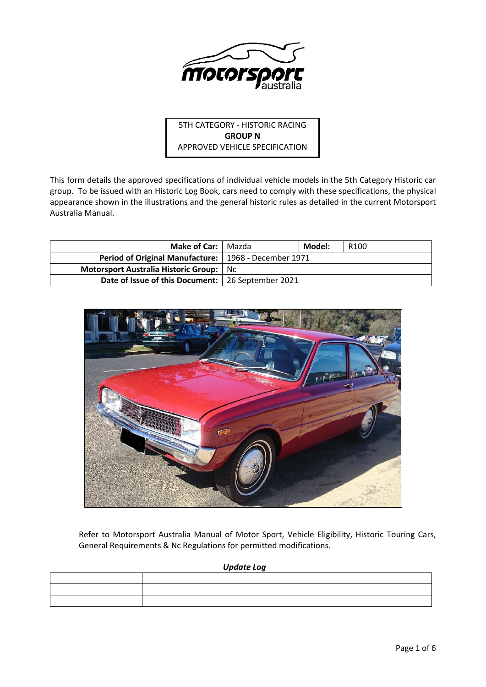

5TH CATEGORY - HISTORIC RACING **GROUP N** APPROVED VEHICLE SPECIFICATION

This form details the approved specifications of individual vehicle models in the 5th Category Historic car group. To be issued with an Historic Log Book, cars need to comply with these specifications, the physical appearance shown in the illustrations and the general historic rules as detailed in the current Motorsport Australia Manual.

| <b>Make of Car:   Mazda</b>                            |  | Model: | R <sub>100</sub> |
|--------------------------------------------------------|--|--------|------------------|
| Period of Original Manufacture:   1968 - December 1971 |  |        |                  |
| Motorsport Australia Historic Group: No                |  |        |                  |
| Date of Issue of this Document:   26 September 2021    |  |        |                  |



Refer to Motorsport Australia Manual of Motor Sport, Vehicle Eligibility, Historic Touring Cars, General Requirements & Nc Regulations for permitted modifications.

| Update Log |  |  |
|------------|--|--|
|            |  |  |
|            |  |  |
|            |  |  |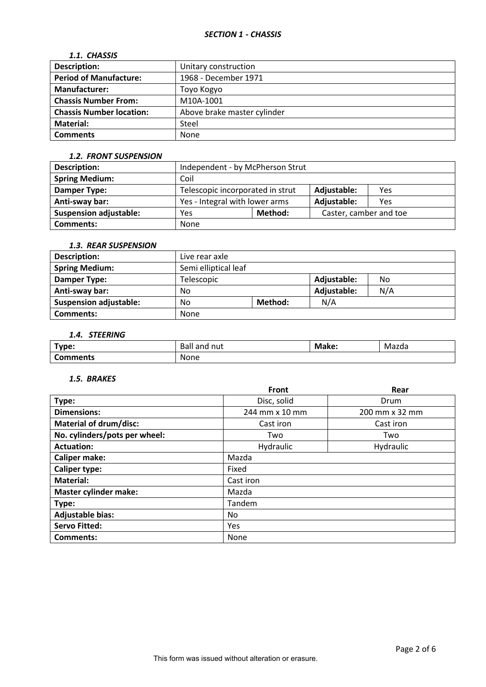## *1.1. CHASSIS*

| <b>Description:</b>             | Unitary construction        |
|---------------------------------|-----------------------------|
| <b>Period of Manufacture:</b>   | 1968 - December 1971        |
| Manufacturer:                   | Toyo Kogyo                  |
| <b>Chassis Number From:</b>     | M10A-1001                   |
| <b>Chassis Number location:</b> | Above brake master cylinder |
| <b>Material:</b>                | Steel                       |
| <b>Comments</b>                 | None                        |

#### *1.2. FRONT SUSPENSION*

| <b>Description:</b>           | Independent - by McPherson Strut                       |         |                        |     |
|-------------------------------|--------------------------------------------------------|---------|------------------------|-----|
| <b>Spring Medium:</b>         | Coil                                                   |         |                        |     |
| Damper Type:                  | Telescopic incorporated in strut<br>Adjustable:<br>Yes |         |                        |     |
| Anti-sway bar:                | Yes - Integral with lower arms<br>Adjustable:          |         |                        | Yes |
| <b>Suspension adjustable:</b> | Yes                                                    | Method: | Caster, camber and toe |     |
| <b>Comments:</b>              | None                                                   |         |                        |     |

# *1.3. REAR SUSPENSION*

| Description:                  | Live rear axle       |         |             |     |
|-------------------------------|----------------------|---------|-------------|-----|
| <b>Spring Medium:</b>         | Semi elliptical leaf |         |             |     |
| Damper Type:                  | Telescopic           |         | Adjustable: | No  |
| Anti-sway bar:                | No                   |         | Adjustable: | N/A |
| <b>Suspension adjustable:</b> | No                   | Method: | N/A         |     |
| <b>Comments:</b>              | None                 |         |             |     |

# *1.4. STEERING*

| Type:         | Balı<br>nut<br>and | Make: | Mazda |
|---------------|--------------------|-------|-------|
| £<br>Comments | None               |       |       |

## *1.5. BRAKES*

|                               | <b>Front</b>   | Rear           |  |  |
|-------------------------------|----------------|----------------|--|--|
| Type:                         | Disc, solid    | Drum           |  |  |
| <b>Dimensions:</b>            | 244 mm x 10 mm | 200 mm x 32 mm |  |  |
| <b>Material of drum/disc:</b> | Cast iron      | Cast iron      |  |  |
| No. cylinders/pots per wheel: | Two            | Two            |  |  |
| <b>Actuation:</b>             | Hydraulic      | Hydraulic      |  |  |
| <b>Caliper make:</b>          | Mazda          |                |  |  |
| <b>Caliper type:</b>          | Fixed          |                |  |  |
| <b>Material:</b>              | Cast iron      |                |  |  |
| <b>Master cylinder make:</b>  | Mazda          |                |  |  |
| Type:                         | Tandem         |                |  |  |
| <b>Adjustable bias:</b>       | No             |                |  |  |
| <b>Servo Fitted:</b>          | Yes            |                |  |  |
| Comments:                     | None           |                |  |  |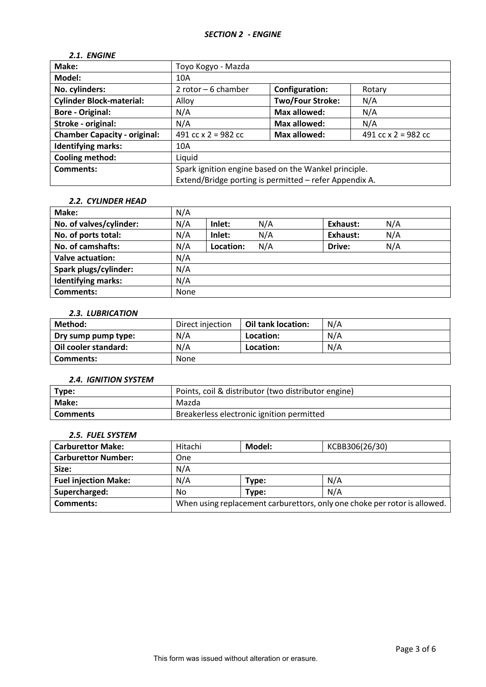## *2.1. ENGINE*

| Make:                               | Toyo Kogyo - Mazda                                                                                             |                         |                       |
|-------------------------------------|----------------------------------------------------------------------------------------------------------------|-------------------------|-----------------------|
| Model:                              | 10A                                                                                                            |                         |                       |
| No. cylinders:                      | 2 rotor $-6$ chamber                                                                                           | Configuration:          | Rotary                |
| <b>Cylinder Block-material:</b>     | Alloy                                                                                                          | <b>Two/Four Stroke:</b> | N/A                   |
| <b>Bore - Original:</b>             | N/A                                                                                                            | Max allowed:            | N/A                   |
| Stroke - original:                  | N/A                                                                                                            | Max allowed:            | N/A                   |
| <b>Chamber Capacity - original:</b> | 491 cc $x$ 2 = 982 cc                                                                                          | Max allowed:            | 491 cc $x$ 2 = 982 cc |
| <b>Identifying marks:</b>           | 10A                                                                                                            |                         |                       |
| Cooling method:                     | Liquid                                                                                                         |                         |                       |
| Comments:                           | Spark ignition engine based on the Wankel principle.<br>Extend/Bridge porting is permitted - refer Appendix A. |                         |                       |

# *2.2. CYLINDER HEAD*

| Make:                     | N/A  |           |     |          |     |
|---------------------------|------|-----------|-----|----------|-----|
| No. of valves/cylinder:   | N/A  | Inlet:    | N/A | Exhaust: | N/A |
| No. of ports total:       | N/A  | Inlet:    | N/A | Exhaust: | N/A |
| No. of camshafts:         | N/A  | Location: | N/A | Drive:   | N/A |
| <b>Valve actuation:</b>   | N/A  |           |     |          |     |
| Spark plugs/cylinder:     | N/A  |           |     |          |     |
| <b>Identifying marks:</b> | N/A  |           |     |          |     |
| <b>Comments:</b>          | None |           |     |          |     |

#### *2.3. LUBRICATION*

| Method:              | Direct injection | <b>Oil tank location:</b> | N/A |
|----------------------|------------------|---------------------------|-----|
| Dry sump pump type:  | N/A              | Location:                 | N/A |
| Oil cooler standard: | N/A              | Location:                 | N/A |
| Comments:            | None             |                           |     |

## *2.4. IGNITION SYSTEM*

| Type:           | Points, coil & distributor (two distributor engine) |
|-----------------|-----------------------------------------------------|
| Make:           | Mazda                                               |
| <b>Comments</b> | Breakerless electronic ignition permitted           |

# *2.5. FUEL SYSTEM*

| <b>Carburettor Make:</b>    | Hitachi                                                                   | Model: | KCBB306(26/30) |
|-----------------------------|---------------------------------------------------------------------------|--------|----------------|
| <b>Carburettor Number:</b>  | <b>One</b>                                                                |        |                |
| Size:                       | N/A                                                                       |        |                |
| <b>Fuel injection Make:</b> | N/A                                                                       | Type:  | N/A            |
| Supercharged:               | No                                                                        | Type:  | N/A            |
| <b>Comments:</b>            | When using replacement carburettors, only one choke per rotor is allowed. |        |                |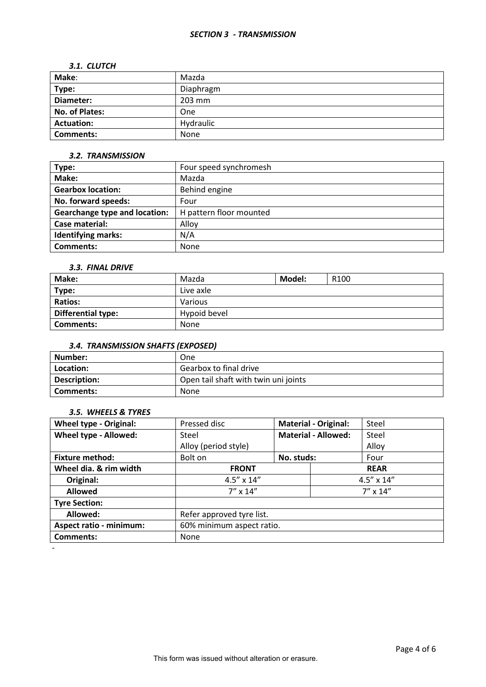#### *SECTION 3 - TRANSMISSION*

#### *3.1. CLUTCH*

| Make:             | Mazda     |
|-------------------|-----------|
| Type:             | Diaphragm |
| Diameter:         | 203 mm    |
| No. of Plates:    | One       |
| <b>Actuation:</b> | Hydraulic |
| <b>Comments:</b>  | None      |

### *3.2. TRANSMISSION*

| Type:                                | Four speed synchromesh  |
|--------------------------------------|-------------------------|
| Make:                                | Mazda                   |
| <b>Gearbox location:</b>             | Behind engine           |
| No. forward speeds:                  | Four                    |
| <b>Gearchange type and location:</b> | H pattern floor mounted |
| Case material:                       | Alloy                   |
| <b>Identifying marks:</b>            | N/A                     |
| Comments:                            | <b>None</b>             |

## *3.3. FINAL DRIVE*

| Make:                     | Mazda        | Model: | R <sub>100</sub> |
|---------------------------|--------------|--------|------------------|
| Type:                     | Live axle    |        |                  |
| <b>Ratios:</b>            | Various      |        |                  |
| <b>Differential type:</b> | Hypoid bevel |        |                  |
| Comments:                 | None         |        |                  |

# *3.4. TRANSMISSION SHAFTS (EXPOSED)*

| Number:      | One                                  |
|--------------|--------------------------------------|
| Location:    | Gearbox to final drive               |
| Description: | Open tail shaft with twin uni joints |
| Comments:    | <b>None</b>                          |

## *3.5. WHEELS & TYRES*

| <b>Wheel type - Original:</b>  | Pressed disc              | <b>Material - Original:</b> | Steel               |
|--------------------------------|---------------------------|-----------------------------|---------------------|
| Wheel type - Allowed:          | Steel                     | <b>Material - Allowed:</b>  | Steel               |
|                                | Alloy (period style)      |                             | Alloy               |
| <b>Fixture method:</b>         | Bolt on                   | No. studs:                  | Four                |
| Wheel dia. & rim width         | <b>FRONT</b>              | <b>REAR</b>                 |                     |
| Original:                      | $4.5'' \times 14''$       |                             | $4.5'' \times 14''$ |
| <b>Allowed</b>                 | $7''$ x 14"               |                             | $7'' \times 14''$   |
| <b>Tyre Section:</b>           |                           |                             |                     |
| Allowed:                       | Refer approved tyre list. |                             |                     |
| <b>Aspect ratio - minimum:</b> | 60% minimum aspect ratio. |                             |                     |
| <b>Comments:</b>               | None                      |                             |                     |
|                                |                           |                             |                     |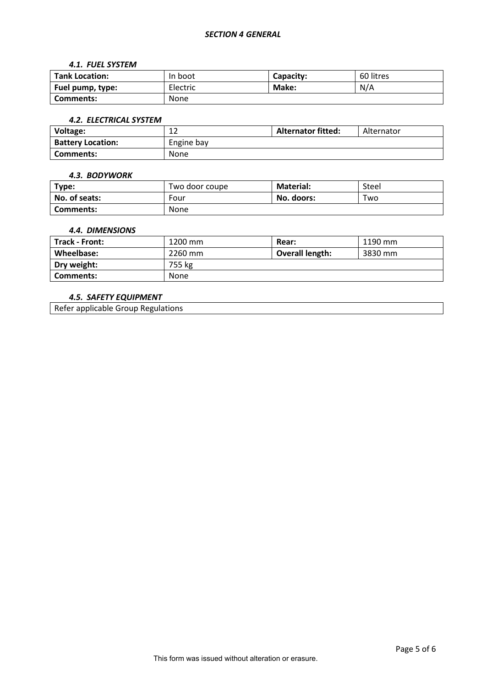#### *SECTION 4 GENERAL*

#### *4.1. FUEL SYSTEM*

| <b>Tank Location:</b> | In boot     | Capacity: | 60 litres |
|-----------------------|-------------|-----------|-----------|
| Fuel pump, type:      | Electric    | Make:     | N/A       |
| Comments:             | <b>None</b> |           |           |

#### *4.2. ELECTRICAL SYSTEM*

| Voltage:                 | ∸∸         | <b>Alternator fitted:</b> | Alternator |
|--------------------------|------------|---------------------------|------------|
| <b>Battery Location:</b> | Engine bay |                           |            |
| Comments:                | None       |                           |            |

#### *4.3. BODYWORK*

| Type:         | Two door coupe | <b>Material:</b> | Steel |
|---------------|----------------|------------------|-------|
| No. of seats: | Four           | No. doors:       | Two   |
| Comments:     | <b>None</b>    |                  |       |

### *4.4. DIMENSIONS*

| <b>Track - Front:</b> | 1200 mm | Rear:                  | 1190 mm |
|-----------------------|---------|------------------------|---------|
| Wheelbase:            | 2260 mm | <b>Overall length:</b> | 3830 mm |
| Dry weight:           | 755 kg  |                        |         |
| Comments:             | None    |                        |         |

## *4.5. SAFETY EQUIPMENT*

Refer applicable Group Regulations